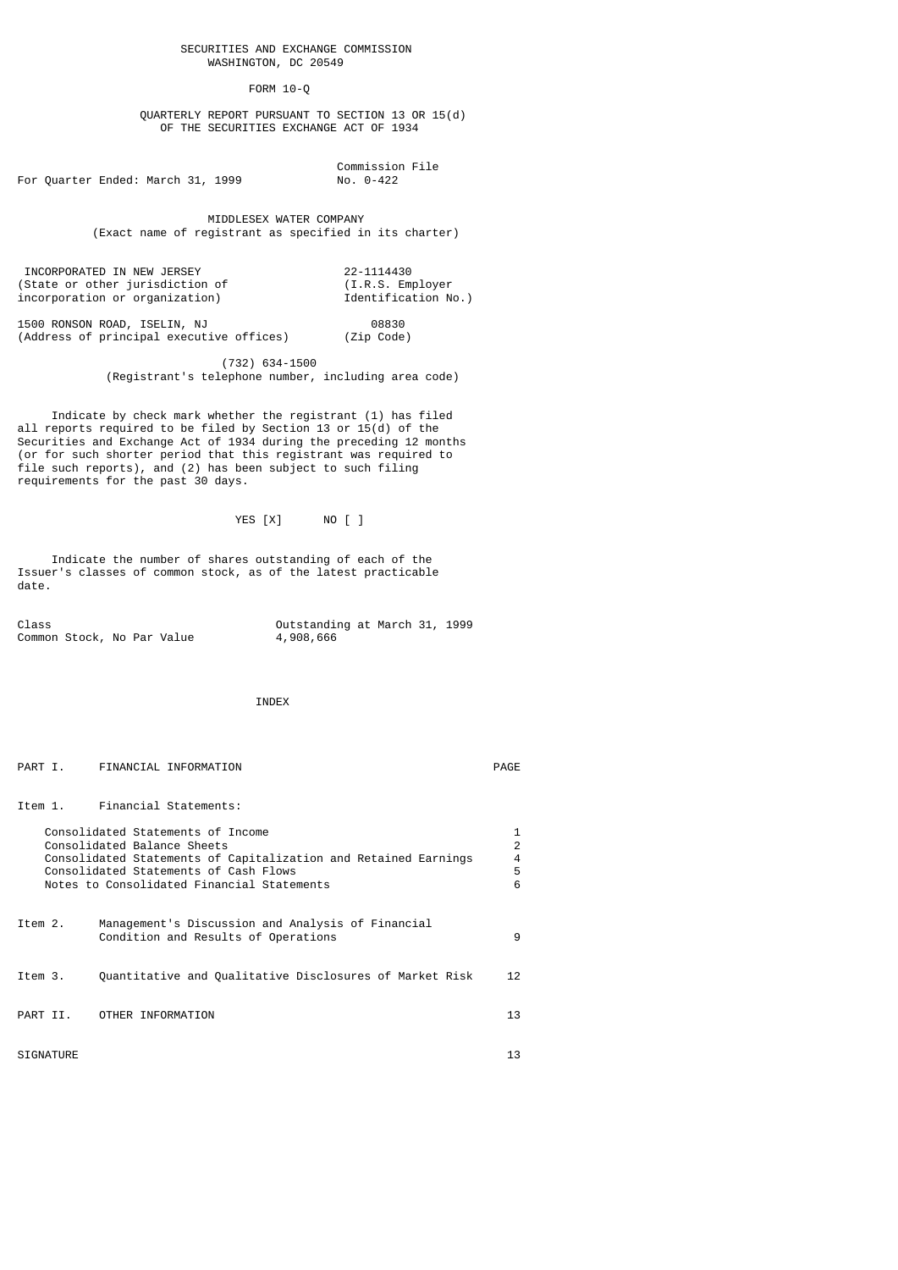FORM 10-Q

 QUARTERLY REPORT PURSUANT TO SECTION 13 OR 15(d) OF THE SECURITIES EXCHANGE ACT OF 1934

For Quarter Ended: March 31, 1999 No. 0-422

Commission File

 MIDDLESEX WATER COMPANY (Exact name of registrant as specified in its charter)

INCORPORATED IN NEW JERSEY 22-1114430 (State or other jurisdiction of (I.R.S. Employer incorporation or organization) Identification No.)

1500 RONSON ROAD, ISELIN, NJ 08830 (Address of principal executive offices) (Zip Code)

> (732) 634-1500 (Registrant's telephone number, including area code)

 Indicate by check mark whether the registrant (1) has filed all reports required to be filed by Section 13 or 15(d) of the Securities and Exchange Act of 1934 during the preceding 12 months (or for such shorter period that this registrant was required to file such reports), and (2) has been subject to such filing requirements for the past 30 days.

YES [X] NO [ ]

 Indicate the number of shares outstanding of each of the Issuer's classes of common stock, as of the latest practicable date.

| Class |                            |  |  | Outstanding at March 31, 1999 |  |  |
|-------|----------------------------|--|--|-------------------------------|--|--|
|       | Common Stock, No Par Value |  |  | 4,908,666                     |  |  |

INDEX

| PART I.          | FINANCIAL INFORMATION                                                                                                                                                                                                      | PAGE                  |
|------------------|----------------------------------------------------------------------------------------------------------------------------------------------------------------------------------------------------------------------------|-----------------------|
|                  | Item 1. Financial Statements:                                                                                                                                                                                              |                       |
|                  | Consolidated Statements of Income<br>Consolidated Balance Sheets<br>Consolidated Statements of Capitalization and Retained Earnings<br>Consolidated Statements of Cash Flows<br>Notes to Consolidated Financial Statements | 1<br>2<br>4<br>5<br>6 |
| Item 2.          | Management's Discussion and Analysis of Financial<br>Condition and Results of Operations                                                                                                                                   | 9                     |
| Item 3.          | Quantitative and Qualitative Disclosures of Market Risk                                                                                                                                                                    | 12 <sub>1</sub>       |
| PART II.         | OTHER INFORMATION                                                                                                                                                                                                          | 13                    |
| <b>SIGNATURE</b> |                                                                                                                                                                                                                            | 13                    |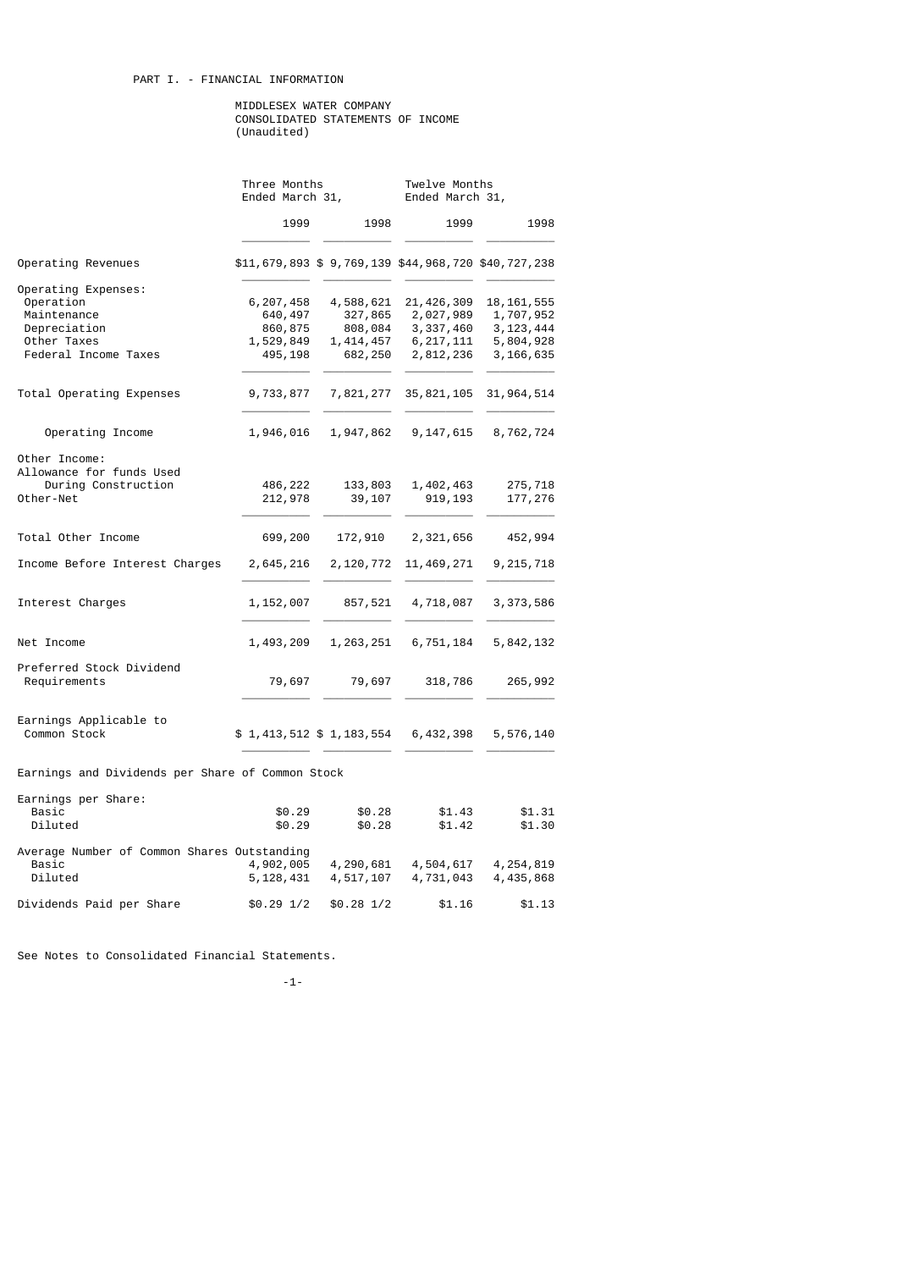# PART I. - FINANCIAL INFORMATION

### MIDDLESEX WATER COMPANY CONSOLIDATED STATEMENTS OF INCOME (Unaudited)

|                                                  | Three Months<br>Ended March 31, |             | Twelve Months<br>Ended March 31,                    |              |  |  |  |
|--------------------------------------------------|---------------------------------|-------------|-----------------------------------------------------|--------------|--|--|--|
|                                                  | 1999                            | 1998        | 1999                                                | 1998         |  |  |  |
| Operating Revenues                               |                                 |             | \$11,679,893 \$ 9,769,139 \$44,968,720 \$40,727,238 |              |  |  |  |
| Operating Expenses:                              |                                 |             |                                                     |              |  |  |  |
| Operation                                        | 6,207,458                       | 4,588,621   | 21, 426, 309                                        | 18, 161, 555 |  |  |  |
| Maintenance                                      | 640,497                         | 327,865     | 2,027,989                                           | 1,707,952    |  |  |  |
| Depreciation                                     | 860,875                         | 808,084     | 3, 337, 460                                         | 3, 123, 444  |  |  |  |
| Other Taxes                                      | 1,529,849                       | 1, 414, 457 | 6, 217, 111                                         | 5,804,928    |  |  |  |
| Federal Income Taxes                             | 495,198                         | 682,250     | 2,812,236                                           | 3,166,635    |  |  |  |
| Total Operating Expenses                         | 9,733,877                       | 7,821,277   | 35, 821, 105                                        | 31, 964, 514 |  |  |  |
| Operating Income                                 | 1,946,016                       | 1,947,862   | 9, 147, 615                                         | 8,762,724    |  |  |  |
| Other Income:<br>Allowance for funds Used        |                                 |             |                                                     |              |  |  |  |
| During Construction                              | 486,222                         | 133,803     | 1,402,463                                           | 275,718      |  |  |  |
| Other-Net                                        | 212,978                         | 39,107      | 919,193                                             | 177,276      |  |  |  |
| Total Other Income                               | 699,200                         | 172,910     | 2,321,656                                           | 452,994      |  |  |  |
| Income Before Interest Charges                   | 2,645,216                       | 2,120,772   | 11,469,271                                          | 9, 215, 718  |  |  |  |
| Interest Charges                                 | 1,152,007                       | 857,521     | 4,718,087                                           | 3,373,586    |  |  |  |
| Net Income                                       | 1,493,209                       | 1, 263, 251 | 6,751,184                                           | 5,842,132    |  |  |  |
| Preferred Stock Dividend<br>Requirements         | 79,697                          | 79,697      | 318,786                                             | 265,992      |  |  |  |
|                                                  |                                 |             |                                                     |              |  |  |  |
| Earnings Applicable to<br>Common Stock           | \$1,413,512 \$1,183,554         |             | 6, 432, 398                                         | 5,576,140    |  |  |  |
| Earnings and Dividends per Share of Common Stock |                                 |             |                                                     |              |  |  |  |
| Earnings per Share:                              |                                 |             |                                                     |              |  |  |  |
| Basic                                            | \$0.29                          | \$0.28      | \$1.43                                              | \$1.31       |  |  |  |
| Diluted                                          | \$0.29                          | \$0.28      | \$1.42                                              | \$1.30       |  |  |  |
| Average Number of Common Shares Outstanding      |                                 |             |                                                     |              |  |  |  |
| Basic                                            | 4,902,005                       | 4,290,681   | 4,504,617                                           | 4,254,819    |  |  |  |
| Diluted                                          | 5, 128, 431                     | 4,517,107   | 4,731,043                                           | 4,435,868    |  |  |  |
| Dividends Paid per Share                         | $$0.29$ $1/2$                   | $$0.28$ 1/2 | \$1.16                                              | \$1.13       |  |  |  |

See Notes to Consolidated Financial Statements.

-1-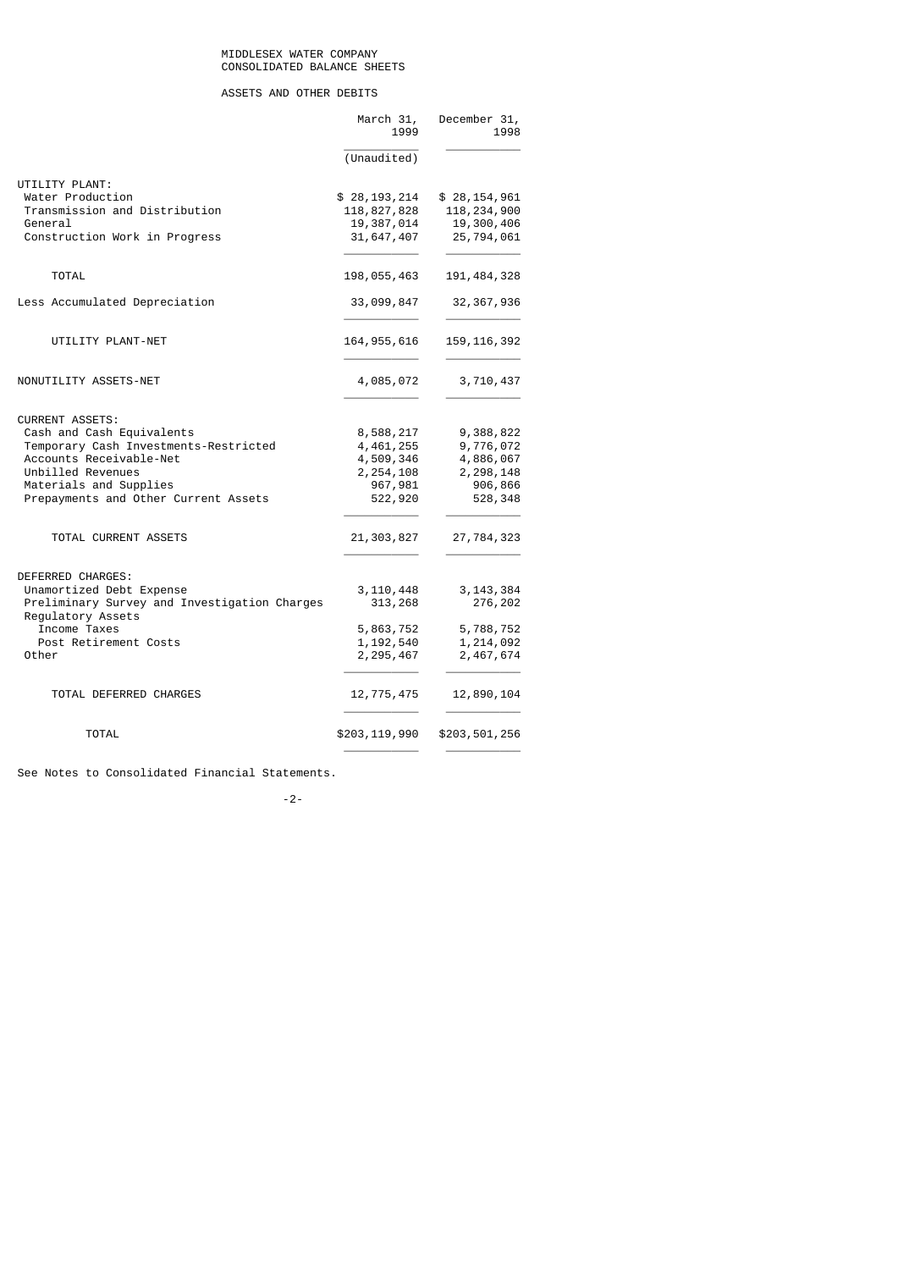# ASSETS AND OTHER DEBITS

| UTILITY PLANT:<br>Water Production                                | (Unaudited)<br>\$28,193,214<br>118,827,828 |               |
|-------------------------------------------------------------------|--------------------------------------------|---------------|
|                                                                   |                                            |               |
|                                                                   |                                            |               |
|                                                                   |                                            | \$28,154,961  |
| Transmission and Distribution                                     |                                            | 118, 234, 900 |
| General                                                           | 19,387,014                                 | 19,300,406    |
| Construction Work in Progress                                     | 31, 647, 407                               | 25,794,061    |
| <b>TOTAL</b>                                                      | 198,055,463                                | 191, 484, 328 |
| Less Accumulated Depreciation                                     | 33,099,847                                 | 32, 367, 936  |
| UTILITY PLANT-NET                                                 | 164, 955, 616                              | 159, 116, 392 |
| NONUTILITY ASSETS-NET                                             | 4,085,072                                  | 3,710,437     |
| <b>CURRENT ASSETS:</b>                                            |                                            |               |
| Cash and Cash Equivalents                                         | 8,588,217                                  | 9,388,822     |
| Temporary Cash Investments-Restricted                             | 4, 461, 255                                | 9,776,072     |
| Accounts Receivable-Net                                           | 4,509,346                                  | 4,886,067     |
| Unbilled Revenues                                                 | 2, 254, 108                                | 2, 298, 148   |
| Materials and Supplies                                            | 967,981                                    | 906,866       |
| Prepayments and Other Current Assets                              | 522,920                                    | 528,348       |
| TOTAL CURRENT ASSETS                                              | 21,303,827                                 | 27,784,323    |
| DEFERRED CHARGES:                                                 |                                            |               |
| Unamortized Debt Expense                                          | 3, 110, 448                                | 3,143,384     |
| Preliminary Survey and Investigation Charges<br>Regulatory Assets | 313,268                                    | 276,202       |
| Income Taxes                                                      | 5,863,752                                  | 5,788,752     |
| Post Retirement Costs                                             | 1, 192, 540                                | 1,214,092     |
| Other                                                             | 2, 295, 467                                | 2,467,674     |
| TOTAL DEFERRED CHARGES                                            | 12,775,475                                 | 12,890,104    |
| TOTAL                                                             | \$203,119,990                              | \$203,501,256 |

See Notes to Consolidated Financial Statements.

## -2-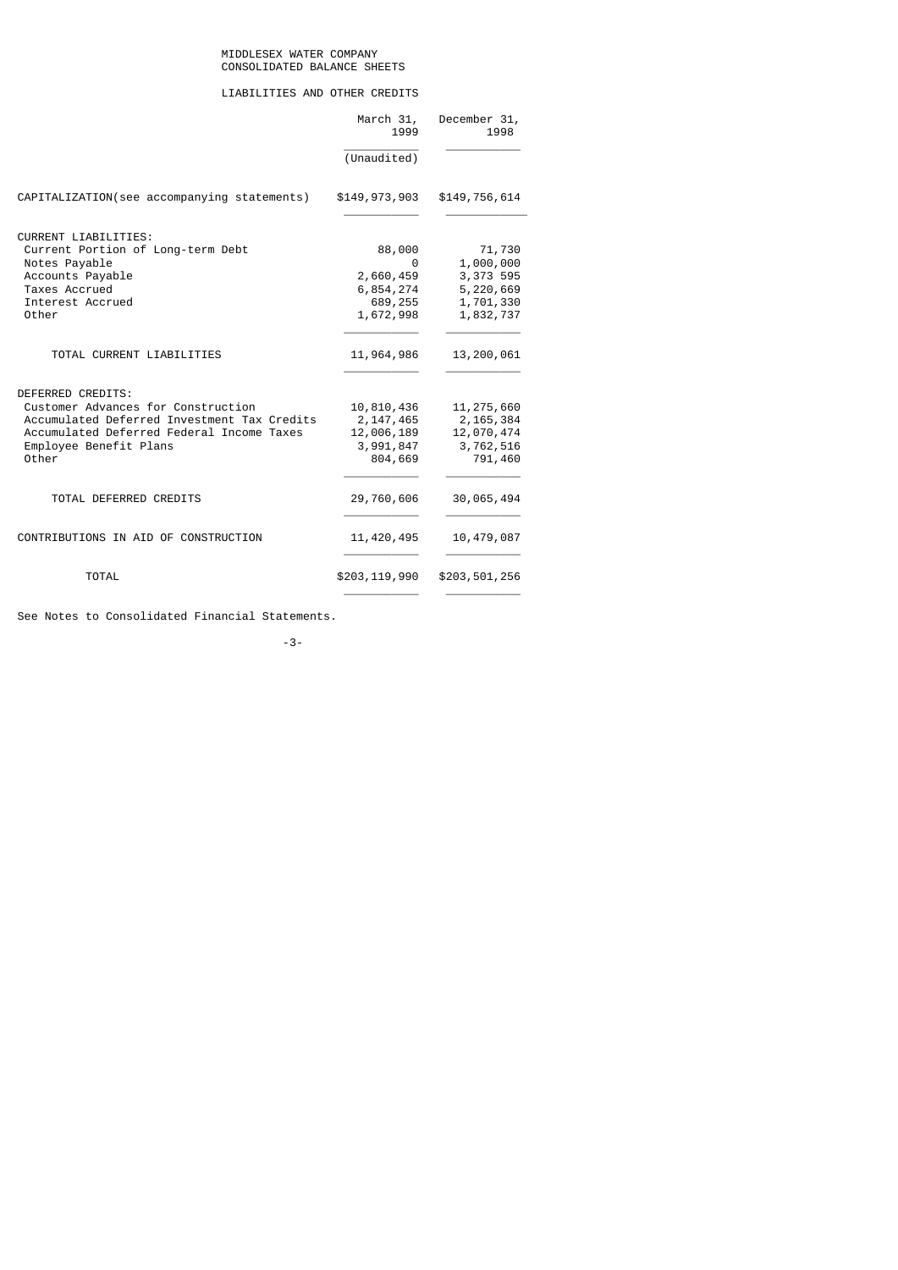# LIABILITIES AND OTHER CREDITS

|                                                                                                                                                                                        | March 31,<br>1999                                               | December 31,<br>1998                                                    |
|----------------------------------------------------------------------------------------------------------------------------------------------------------------------------------------|-----------------------------------------------------------------|-------------------------------------------------------------------------|
|                                                                                                                                                                                        | (Unaudited)                                                     |                                                                         |
| CAPITALIZATION(see accompanying statements)                                                                                                                                            | \$149,973,903                                                   | \$149,756,614                                                           |
| CURRENT LIABILITIES:<br>Current Portion of Long-term Debt<br>Notes Payable<br>Accounts Payable<br>Taxes Accrued<br>Interest Accrued<br>Other                                           | 88,000<br>0<br>2,660,459<br>6,854,274<br>689,255<br>1,672,998   | 71,730<br>1,000,000<br>3,373 595<br>5,220,669<br>1,701,330<br>1,832,737 |
| TOTAL CURRENT LIABILITIES                                                                                                                                                              | 11,964,986                                                      | 13,200,061                                                              |
| DEFERRED CREDITS:<br>Customer Advances for Construction<br>Accumulated Deferred Investment Tax Credits<br>Accumulated Deferred Federal Income Taxes<br>Employee Benefit Plans<br>Other | 10,810,436<br>2, 147, 465<br>12,006,189<br>3,991,847<br>804,669 | 11, 275, 660<br>2, 165, 384<br>12,070,474<br>3,762,516<br>791,460       |
| TOTAL DEFERRED CREDITS                                                                                                                                                                 | 29,760,606                                                      | 30,065,494                                                              |
| CONTRIBUTIONS IN AID OF CONSTRUCTION                                                                                                                                                   | 11, 420, 495                                                    | 10,479,087                                                              |
| <b>TOTAL</b>                                                                                                                                                                           | \$203,119,990                                                   | \$203,501,256                                                           |

See Notes to Consolidated Financial Statements.

-3-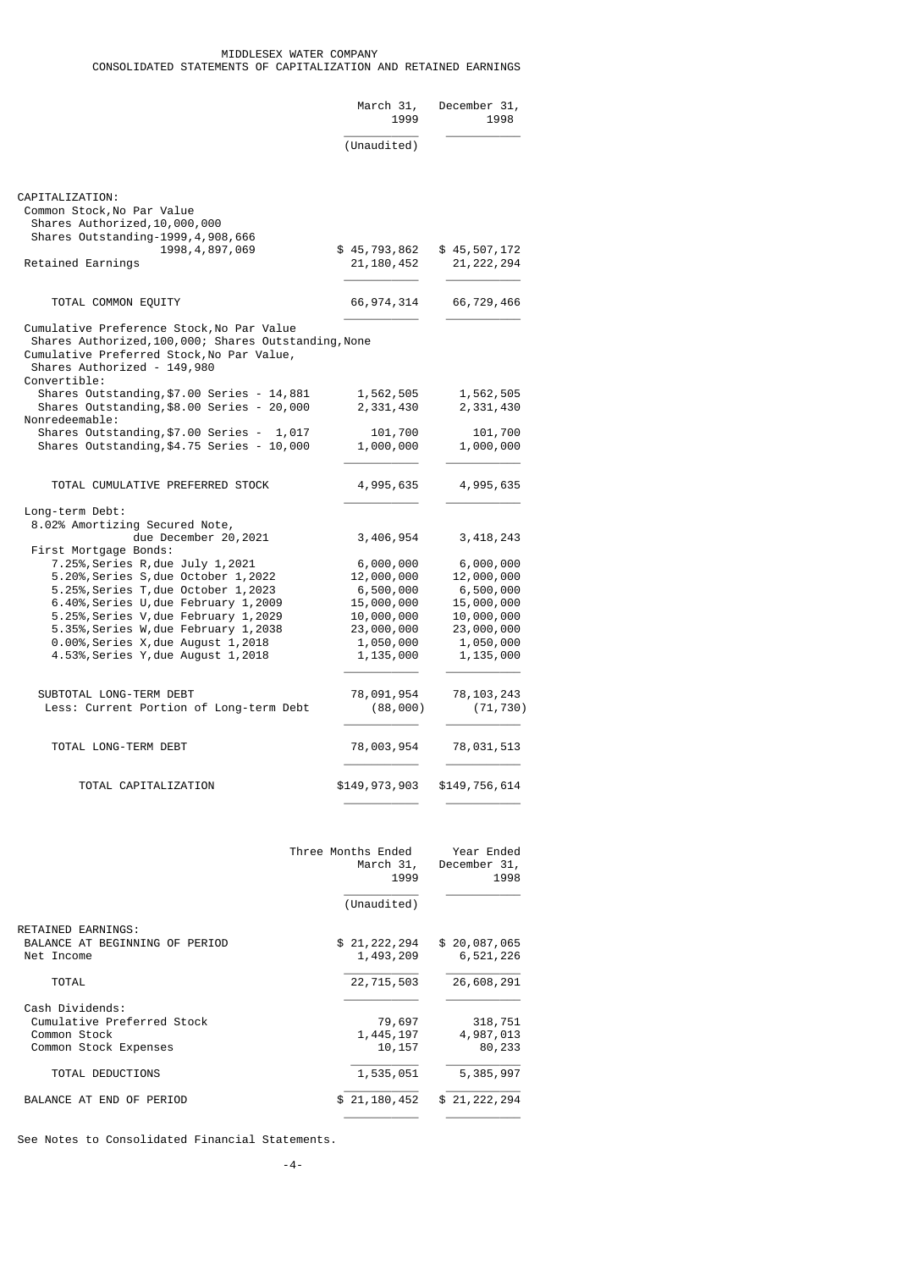|                                                                                                                                                                                                | March 31,<br>1999            | December 31,<br>1998         |
|------------------------------------------------------------------------------------------------------------------------------------------------------------------------------------------------|------------------------------|------------------------------|
|                                                                                                                                                                                                | (Unaudited)                  |                              |
| CAPITALIZATION:<br>Common Stock, No Par Value<br>Shares Authorized, 10,000,000<br>Shares Outstanding-1999, 4, 908, 666<br>1998, 4, 897, 069<br>Retained Earnings                               | \$45,793,862<br>21, 180, 452 | \$45,507,172<br>21, 222, 294 |
|                                                                                                                                                                                                |                              |                              |
| TOTAL COMMON EQUITY                                                                                                                                                                            | 66, 974, 314                 | 66,729,466                   |
| Cumulative Preference Stock, No Par Value<br>Shares Authorized, 100, 000; Shares Outstanding, None<br>Cumulative Preferred Stock, No Par Value,<br>Shares Authorized - 149,980<br>Convertible: |                              |                              |
| Shares Outstanding,\$7.00 Series - 14,881                                                                                                                                                      | 1,562,505                    | 1,562,505                    |
| Shares Outstanding, \$8.00 Series - 20,000<br>Nonredeemable:                                                                                                                                   | 2,331,430                    | 2,331,430                    |
| Shares Outstanding,\$7.00 Series - 1,017                                                                                                                                                       | 101,700                      | 101,700                      |
| Shares Outstanding, \$4.75 Series - 10,000                                                                                                                                                     | 1,000,000                    | 1,000,000                    |
| TOTAL CUMULATIVE PREFERRED STOCK                                                                                                                                                               | 4,995,635                    | 4,995,635                    |
| Long-term Debt:                                                                                                                                                                                |                              |                              |
| 8.02% Amortizing Secured Note,<br>due December 20, 2021<br>First Mortgage Bonds:                                                                                                               | 3,406,954                    | 3,418,243                    |
| 7.25%, Series R, due July 1, 2021                                                                                                                                                              | 6,000,000                    | 6,000,000                    |
| 5.20%, Series S, due October 1, 2022                                                                                                                                                           | 12,000,000                   | 12,000,000                   |
| 5.25%, Series T, due October 1, 2023                                                                                                                                                           | 6,500,000                    | 6,500,000                    |
| 6.40%, Series U, due February 1, 2009                                                                                                                                                          | 15,000,000                   | 15,000,000                   |
| 5.25%, Series V, due February 1,2029                                                                                                                                                           | 10,000,000                   | 10,000,000                   |
| 5.35%, Series W, due February 1,2038<br>0.00%, Series X, due August 1, 2018                                                                                                                    | 23,000,000<br>1,050,000      | 23,000,000                   |
| 4.53%, Series Y, due August 1, 2018                                                                                                                                                            | 1,135,000                    | 1,050,000<br>1,135,000       |
| SUBTOTAL LONG-TERM DEBT<br>Less: Current Portion of Long-term Debt                                                                                                                             | 78,091,954<br>(88,000)       | 78, 103, 243<br>(71, 730)    |
| TOTAL LONG-TERM DEBT                                                                                                                                                                           | 78,003,954                   | 78,031,513                   |
| TOTAL CAPITALIZATION                                                                                                                                                                           | \$149,973,903                | \$149,756,614                |

|                                | Three Months Ended<br>March 31,<br>1999 | Year Ended<br>December 31,<br>1998 |
|--------------------------------|-----------------------------------------|------------------------------------|
|                                | (Unaudited)                             |                                    |
| RETAINED EARNINGS:             |                                         |                                    |
| BALANCE AT BEGINNING OF PERIOD | \$21,222,294                            | \$20,087,065                       |
| Net Income                     | 1,493,209                               | 6,521,226                          |
| <b>TOTAL</b>                   | 22,715,503                              | 26,608,291                         |
| Cash Dividends:                |                                         |                                    |
| Cumulative Preferred Stock     | 79,697                                  | 318,751                            |
| Common Stock                   | 1,445,197                               | 4,987,013                          |
| Common Stock Expenses          | 10,157                                  | 80,233                             |
| TOTAL DEDUCTIONS               | 1,535,051                               | 5,385,997                          |
| BALANCE AT END OF PERIOD       | \$21,180,452                            | \$21,222,294                       |
|                                |                                         |                                    |

See Notes to Consolidated Financial Statements.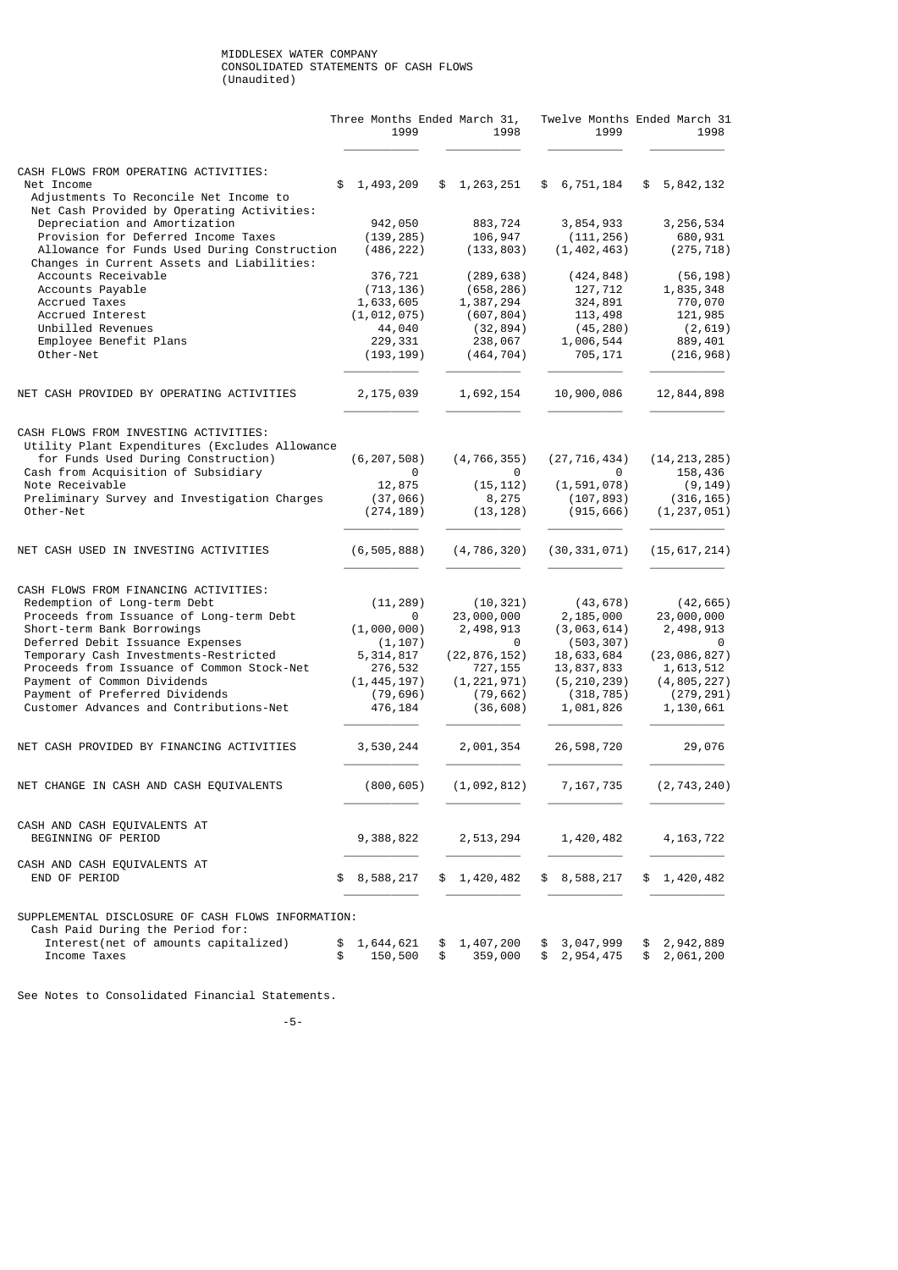### MIDDLESEX WATER COMPANY CONSOLIDATED STATEMENTS OF CASH FLOWS (Unaudited)

|                                                                                               |          | Three Months Ended March 31,<br>1999 |          | 1998                    |          | Twelve Months Ended March 31<br>1999 | 1998                         |
|-----------------------------------------------------------------------------------------------|----------|--------------------------------------|----------|-------------------------|----------|--------------------------------------|------------------------------|
| CASH FLOWS FROM OPERATING ACTIVITIES:<br>Net Income<br>Adjustments To Reconcile Net Income to | \$       | 1,493,209                            |          | \$1,263,251             |          | \$6,751,184                          | \$5,842,132                  |
| Net Cash Provided by Operating Activities:                                                    |          |                                      |          |                         |          |                                      |                              |
| Depreciation and Amortization                                                                 |          | 942,050                              |          | 883,724                 |          | 3,854,933                            | 3, 256, 534                  |
| Provision for Deferred Income Taxes                                                           |          | (139, 285)                           |          | 106,947                 |          | (111, 256)                           | 680,931                      |
| Allowance for Funds Used During Construction<br>Changes in Current Assets and Liabilities:    |          | (486, 222)                           |          | (133, 803)              |          | (1, 402, 463)                        | (275, 718)                   |
| Accounts Receivable                                                                           |          | 376,721                              |          | (289, 638)              |          | (424, 848)                           | (56, 198)                    |
| Accounts Payable                                                                              |          | (713, 136)                           |          | (658, 286)              |          | 127,712                              | 1,835,348                    |
| <b>Accrued Taxes</b>                                                                          |          | 1,633,605                            |          | 1,387,294               |          | 324,891                              | 770,070                      |
| Accrued Interest                                                                              |          | (1, 012, 075)                        |          | (607, 804)              |          | 113,498                              | 121,985                      |
| Unbilled Revenues                                                                             |          | 44,040                               |          | (32, 894)               |          | (45, 280)                            | (2,619)                      |
| Employee Benefit Plans                                                                        |          | 229,331                              |          | 238,067                 |          | 1,006,544                            | 889,401                      |
| Other-Net                                                                                     |          | (193, 199)                           |          | (464, 704)              |          | 705,171                              | (216, 968)                   |
| NET CASH PROVIDED BY OPERATING ACTIVITIES                                                     |          | 2,175,039                            |          | 1,692,154               |          | 10,900,086                           | 12,844,898                   |
| CASH FLOWS FROM INVESTING ACTIVITIES:<br>Utility Plant Expenditures (Excludes Allowance       |          |                                      |          |                         |          |                                      |                              |
| for Funds Used During Construction)                                                           |          | (6, 207, 508)                        |          | (4, 766, 355)           |          | (27, 716, 434)                       | (14, 213, 285)               |
| Cash from Acquisition of Subsidiary                                                           |          | 0                                    |          | 0                       |          | 0                                    | 158,436                      |
| Note Receivable                                                                               |          | 12,875                               |          | (15, 112)               |          | (1, 591, 078)                        | (9, 149)                     |
| Preliminary Survey and Investigation Charges                                                  |          | (37, 066)                            |          | 8,275                   |          | (107, 893)                           | (316, 165)                   |
| Other-Net                                                                                     |          | (274, 189)                           |          | (13, 128)               |          | (915, 666)                           | (1, 237, 051)                |
| NET CASH USED IN INVESTING ACTIVITIES                                                         |          | (6, 505, 888)                        |          | (4, 786, 320)           |          | (30, 331, 071)                       | (15, 617, 214)               |
|                                                                                               |          |                                      |          |                         |          |                                      |                              |
| CASH FLOWS FROM FINANCING ACTIVITIES:                                                         |          |                                      |          |                         |          |                                      |                              |
| Redemption of Long-term Debt<br>Proceeds from Issuance of Long-term Debt                      |          | (11, 289)<br>0                       |          | (10, 321)<br>23,000,000 |          | (43, 678)<br>2,185,000               | (42, 665)<br>23,000,000      |
| Short-term Bank Borrowings                                                                    |          | (1,000,000)                          |          | 2,498,913               |          | (3,063,614)                          | 2,498,913                    |
| Deferred Debit Issuance Expenses                                                              |          | (1, 107)                             |          | 0                       |          | (503, 307)                           | 0                            |
| Temporary Cash Investments-Restricted                                                         |          | 5,314,817                            |          | (22, 876, 152)          |          | 18,633,684                           | (23,086,827)                 |
| Proceeds from Issuance of Common Stock-Net                                                    |          | 276,532                              |          | 727,155                 |          | 13,837,833                           | 1,613,512                    |
| Payment of Common Dividends                                                                   |          | (1,445,197)                          |          | (1, 221, 971)           |          | (5, 210, 239)                        | (4, 805, 227)                |
| Payment of Preferred Dividends                                                                |          | (79, 696)                            |          | (79, 662)               |          | (318, 785)                           | (279, 291)                   |
| Customer Advances and Contributions-Net                                                       |          | 476,184                              |          | (36, 608)               |          | 1,081,826                            | 1,130,661                    |
| NET CASH PROVIDED BY FINANCING ACTIVITIES                                                     |          | 3,530,244                            |          | 2,001,354               |          | 26,598,720                           | 29,076                       |
| NET CHANGE IN CASH AND CASH EQUIVALENTS                                                       |          | (800, 605)                           |          | (1,092,812)             |          | 7, 167, 735                          | (2, 743, 240)                |
|                                                                                               |          |                                      |          |                         |          |                                      |                              |
| CASH AND CASH EQUIVALENTS AT<br>BEGINNING OF PERIOD                                           |          | 9,388,822                            |          | 2,513,294               |          | 1,420,482                            | 4, 163, 722                  |
| CASH AND CASH EQUIVALENTS AT<br>END OF PERIOD                                                 | \$       | 8,588,217                            |          | \$1,420,482             |          | 8,588,217                            | \$<br>1,420,482              |
| SUPPLEMENTAL DISCLOSURE OF CASH FLOWS INFORMATION:                                            |          |                                      |          |                         |          |                                      |                              |
| Cash Paid During the Period for:                                                              |          |                                      |          |                         |          |                                      |                              |
| Interest(net of amounts capitalized)<br>Income Taxes                                          | \$<br>\$ | 1,644,621<br>150,500                 | \$<br>\$ | 1,407,200<br>359,000    | \$<br>\$ | 3,047,999<br>2,954,475               | \$<br>2,942,889<br>2,061,200 |

See Notes to Consolidated Financial Statements.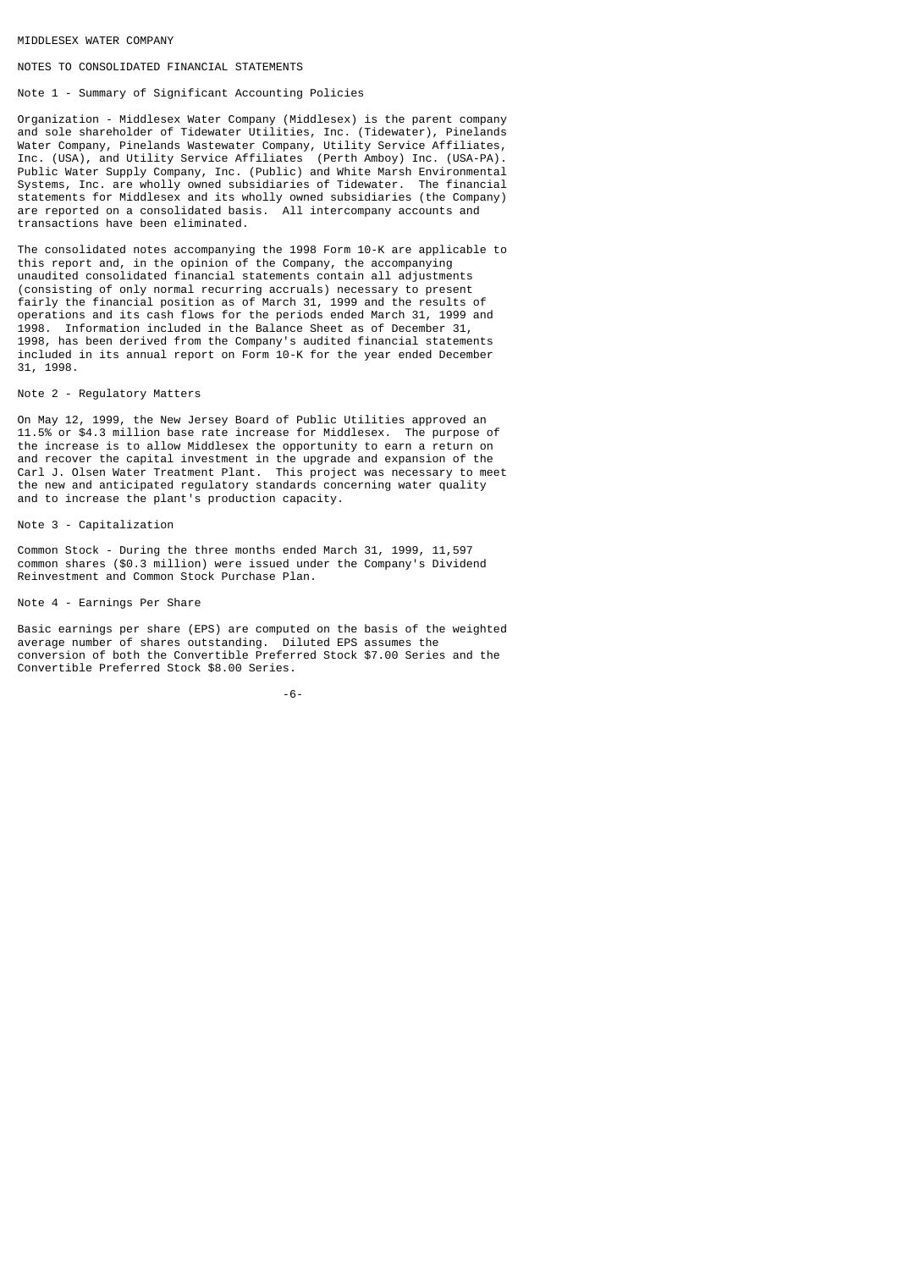### MIDDLESEX WATER COMPANY

## NOTES TO CONSOLIDATED FINANCIAL STATEMENTS

## Note 1 - Summary of Significant Accounting Policies

Organization - Middlesex Water Company (Middlesex) is the parent company and sole shareholder of Tidewater Utilities, Inc. (Tidewater), Pinelands Water Company, Pinelands Wastewater Company, Utility Service Affiliates, Inc. (USA), and Utility Service Affiliates (Perth Amboy) Inc. (USA-PA). Public Water Supply Company, Inc. (Public) and White Marsh Environmental Systems, Inc. are wholly owned subsidiaries of Tidewater. The financial statements for Middlesex and its wholly owned subsidiaries (the Company) are reported on a consolidated basis. All intercompany accounts and transactions have been eliminated.

The consolidated notes accompanying the 1998 Form 10-K are applicable to this report and, in the opinion of the Company, the accompanying unaudited consolidated financial statements contain all adjustments (consisting of only normal recurring accruals) necessary to present fairly the financial position as of March 31, 1999 and the results of operations and its cash flows for the periods ended March 31, 1999 and 1998. Information included in the Balance Sheet as of December 31, 1998, has been derived from the Company's audited financial statements included in its annual report on Form 10-K for the year ended December 31, 1998.

### Note 2 - Regulatory Matters

On May 12, 1999, the New Jersey Board of Public Utilities approved an 11.5% or \$4.3 million base rate increase for Middlesex. The purpose of the increase is to allow Middlesex the opportunity to earn a return on and recover the capital investment in the upgrade and expansion of the Carl J. Olsen Water Treatment Plant. This project was necessary to meet the new and anticipated regulatory standards concerning water quality and to increase the plant's production capacity.

### Note 3 - Capitalization

Common Stock - During the three months ended March 31, 1999, 11,597 common shares (\$0.3 million) were issued under the Company's Dividend Reinvestment and Common Stock Purchase Plan.

### Note 4 - Earnings Per Share

Basic earnings per share (EPS) are computed on the basis of the weighted average number of shares outstanding. Diluted EPS assumes the conversion of both the Convertible Preferred Stock \$7.00 Series and the Convertible Preferred Stock \$8.00 Series.

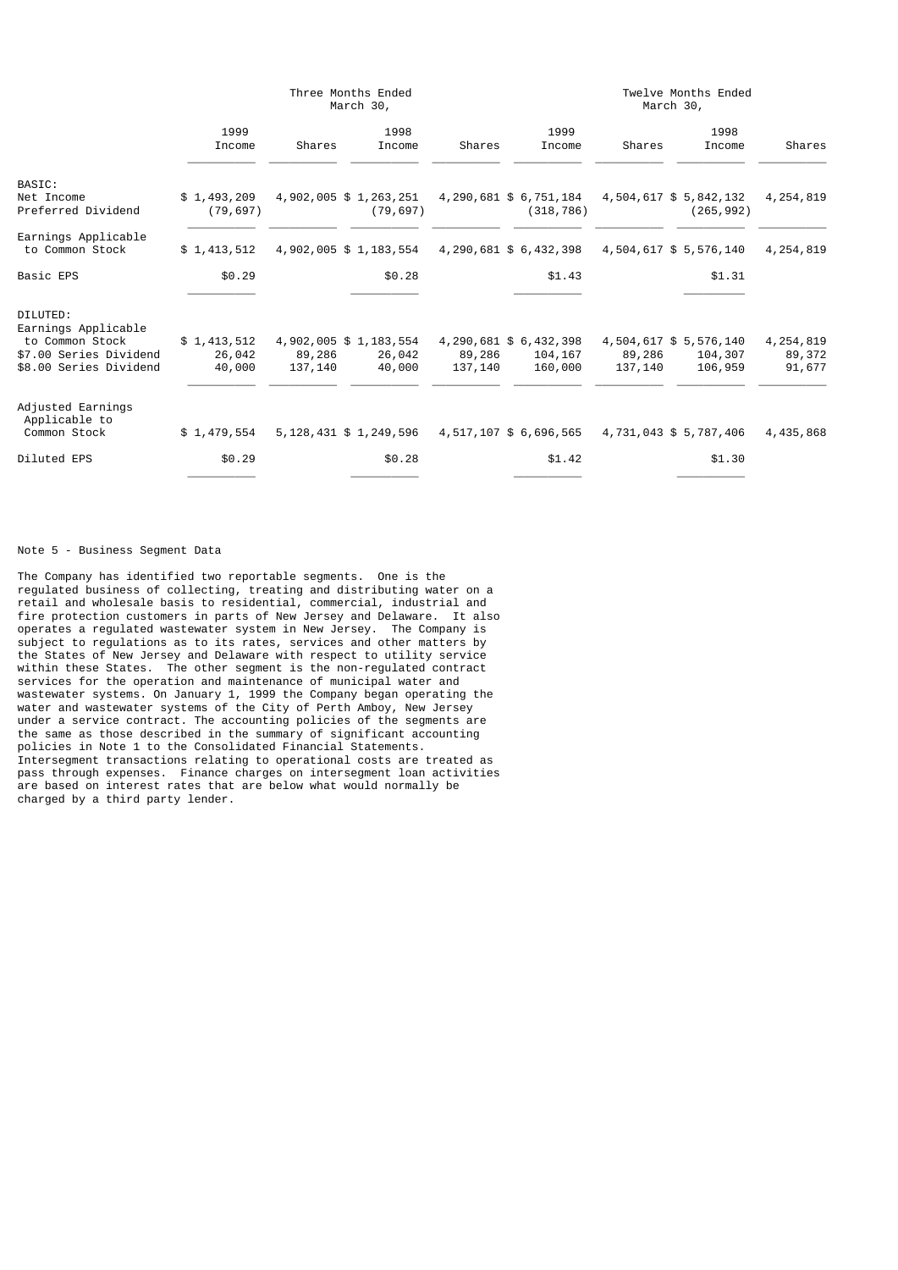|                                        |                          |         | Three Months Ended<br>March 30,    |         | Twelve Months Ended<br>March 30,     |         |                                      |             |  |  |
|----------------------------------------|--------------------------|---------|------------------------------------|---------|--------------------------------------|---------|--------------------------------------|-------------|--|--|
|                                        | 1999<br>Income           | Shares  | 1998<br>Income                     | Shares  | 1999<br>Income                       | Shares  | 1998<br>Income                       | Shares      |  |  |
| BASIC:                                 |                          |         |                                    |         |                                      |         |                                      |             |  |  |
| Net Income<br>Preferred Dividend       | \$1,493,209<br>(79, 697) |         | 4,902,005 \$1,263,251<br>(79, 697) |         | 4,290,681 \$ 6,751,184<br>(318, 786) |         | 4,504,617 \$ 5,842,132<br>(265, 992) | 4, 254, 819 |  |  |
| Earnings Applicable<br>to Common Stock | \$1,413,512              |         | 4,902,005 \$1,183,554              |         | 4,290,681 \$ 6,432,398               |         | 4,504,617 \$ 5,576,140               | 4,254,819   |  |  |
| <b>Basic EPS</b>                       | \$0.29                   |         | \$0.28                             |         | \$1.43                               |         | \$1.31                               |             |  |  |
| DILUTED:<br>Earnings Applicable        |                          |         |                                    |         |                                      |         |                                      |             |  |  |
| to Common Stock                        | \$1,413,512              |         | 4,902,005 \$1,183,554              |         | 4, 290, 681 \$ 6, 432, 398           |         | 4,504,617 \$ 5,576,140               | 4, 254, 819 |  |  |
| \$7.00 Series Dividend                 | 26,042                   | 89,286  | 26,042                             | 89,286  | 104,167                              | 89,286  | 104,307                              | 89,372      |  |  |
| \$8.00 Series Dividend                 | 40,000                   | 137,140 | 40,000                             | 137,140 | 160,000                              | 137,140 | 106,959                              | 91,677      |  |  |
| Adjusted Earnings<br>Applicable to     |                          |         |                                    |         |                                      |         |                                      |             |  |  |
| Common Stock                           | \$1,479,554              |         | 5, 128, 431 \$ 1, 249, 596         |         | 4,517,107 \$ 6,696,565               |         | 4,731,043 \$ 5,787,406               | 4,435,868   |  |  |
| Diluted EPS                            | \$0.29                   |         | \$0.28                             |         | \$1.42                               |         | \$1.30                               |             |  |  |

Note 5 - Business Segment Data

The Company has identified two reportable segments. One is the regulated business of collecting, treating and distributing water on a retail and wholesale basis to residential, commercial, industrial and fire protection customers in parts of New Jersey and Delaware. It also operates a regulated wastewater system in New Jersey. The Company is subject to regulations as to its rates, services and other matters by the States of New Jersey and Delaware with respect to utility service within these States. The other segment is the non-regulated contract services for the operation and maintenance of municipal water and wastewater systems. On January 1, 1999 the Company began operating the water and wastewater systems of the City of Perth Amboy, New Jersey under a service contract. The accounting policies of the segments are the same as those described in the summary of significant accounting policies in Note 1 to the Consolidated Financial Statements. Intersegment transactions relating to operational costs are treated as pass through expenses. Finance charges on intersegment loan activities are based on interest rates that are below what would normally be charged by a third party lender.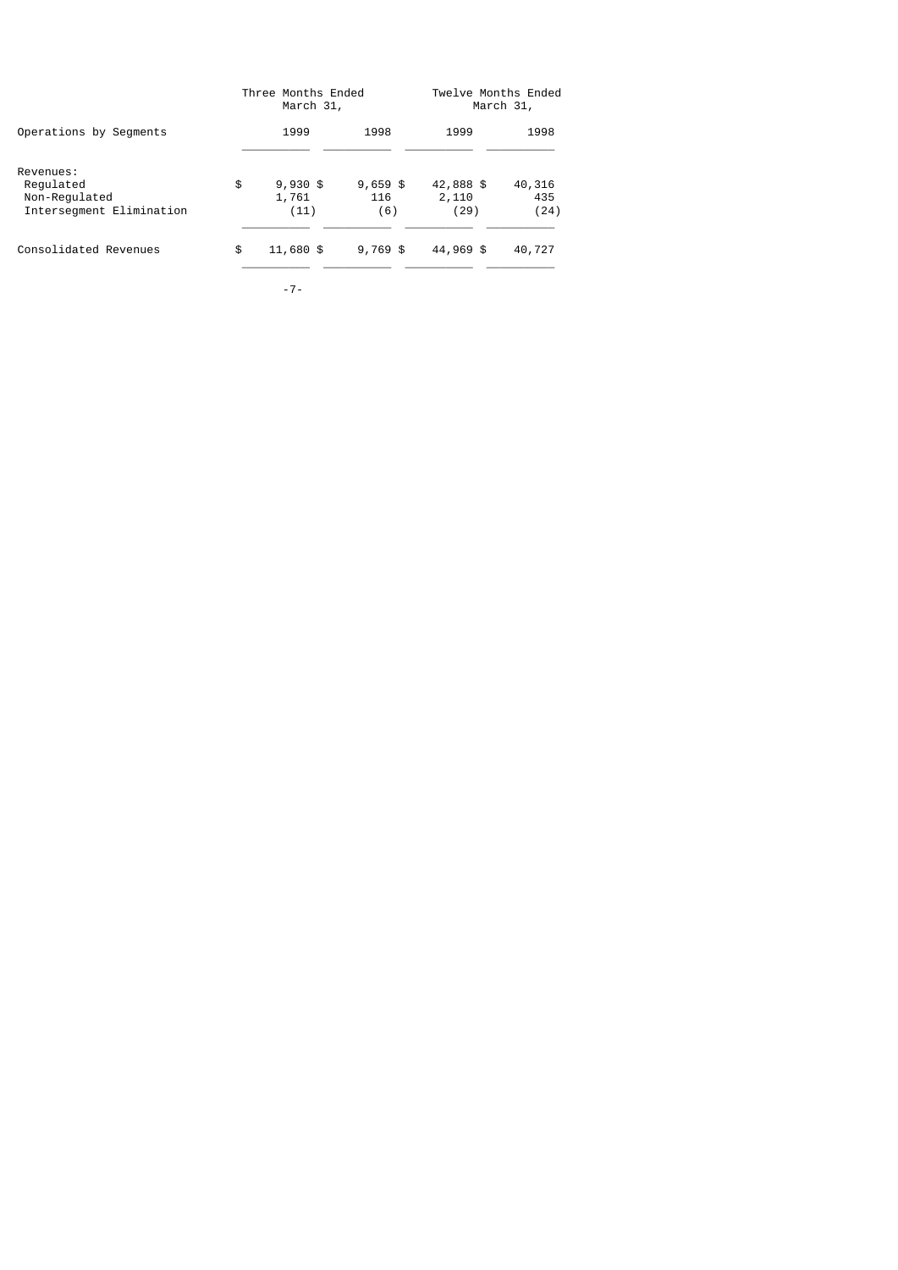|                                                                     | Three Months Ended<br>March 31,   | Twelve Months Ended<br>March 31, |                            |                       |  |
|---------------------------------------------------------------------|-----------------------------------|----------------------------------|----------------------------|-----------------------|--|
| Operations by Segments                                              | 1999                              | 1998                             | 1999                       | 1998                  |  |
| Revenues:<br>Requlated<br>Non-Regulated<br>Intersegment Elimination | \$<br>$9,930$ \$<br>1,761<br>(11) | $9,659$ \$<br>116<br>(6)         | 42,888 \$<br>2,110<br>(29) | 40,316<br>435<br>(24) |  |
| Consolidated Revenues                                               | \$<br>11,680 \$                   | $9,769$ \$                       | 44,969 \$                  | 40,727                |  |

-7-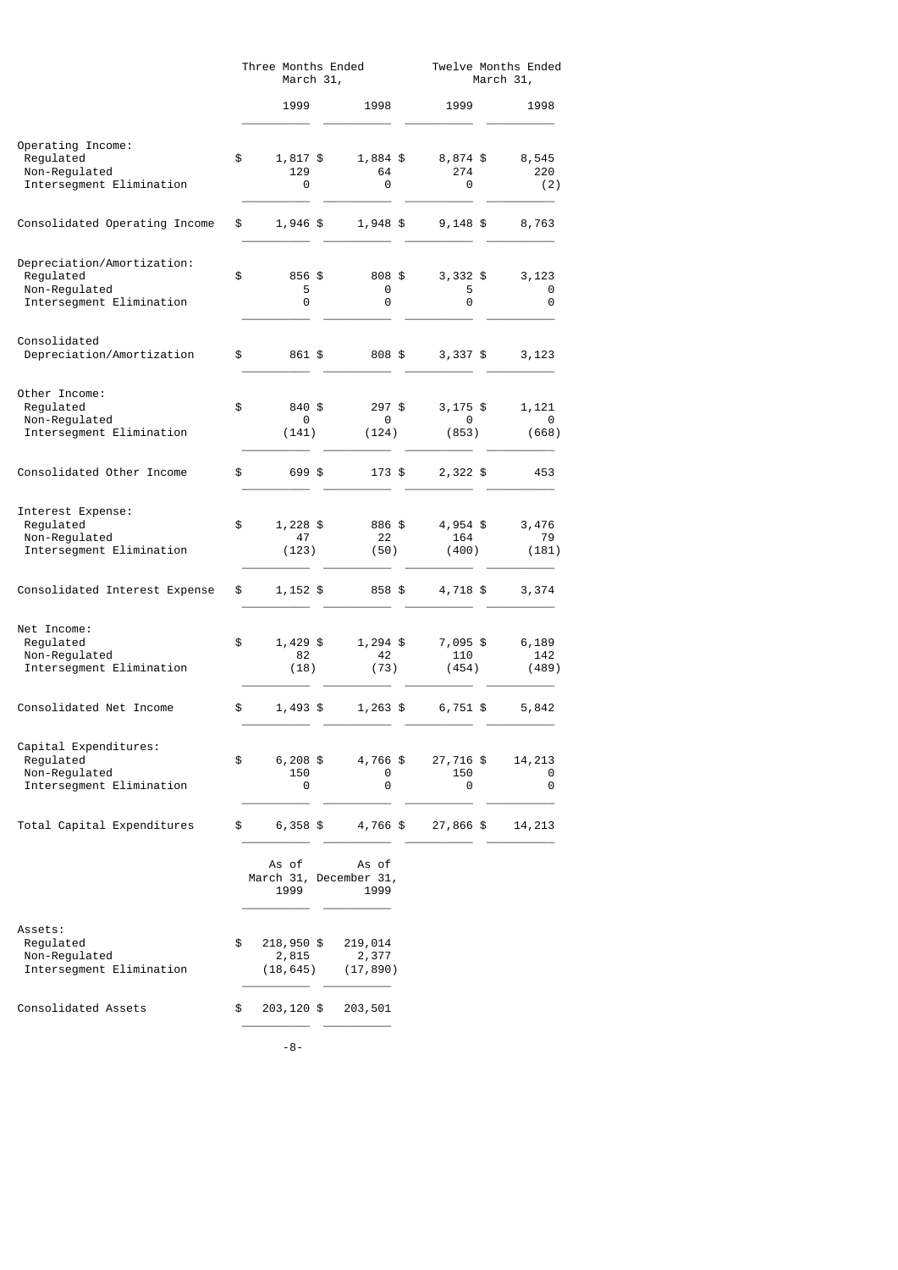|                                                                                      | Three Months Ended<br>March 31, |                                  |  |                                         |  | Twelve Months Ended<br>March 31, |  |                       |  |
|--------------------------------------------------------------------------------------|---------------------------------|----------------------------------|--|-----------------------------------------|--|----------------------------------|--|-----------------------|--|
|                                                                                      |                                 | 1999                             |  | 1998                                    |  | 1999                             |  | 1998                  |  |
| Operating Income:<br>Regulated<br>Non-Regulated<br>Intersegment Elimination          | \$                              | 1,817 \$<br>129<br>0             |  | 1,884 \$<br>64<br>0                     |  | 8,874 \$<br>274<br>0             |  | 8,545<br>220<br>(2)   |  |
| Consolidated Operating Income                                                        | \$                              | 1,946 \$                         |  | 1,948 \$                                |  | $9,148$ \$                       |  | 8,763                 |  |
| Depreciation/Amortization:<br>Regulated<br>Non-Regulated<br>Intersegment Elimination | \$                              | 856 \$<br>5<br>0                 |  | 808 \$<br>0<br>0                        |  | $3,332$ \$<br>5<br>0             |  | 3,123<br>0<br>0       |  |
| Consolidated<br>Depreciation/Amortization                                            | \$                              | 861 \$                           |  | 808 \$                                  |  | $3,337$ \$                       |  | 3,123                 |  |
| Other Income:<br>Regulated<br>Non-Regulated<br>Intersegment Elimination              | \$                              | 840 \$<br>0<br>(141)             |  | $297$ \$<br>0<br>(124)                  |  | $3,175$ \$<br>0<br>(853)         |  | 1,121<br>0<br>(668)   |  |
| Consolidated Other Income                                                            | \$                              | 699 \$                           |  | 173 \$                                  |  | $2,322$ \$                       |  | 453                   |  |
| Interest Expense:<br>Regulated<br>Non-Regulated<br>Intersegment Elimination          | \$                              | 1,228 \$<br>47<br>(123)          |  | 886 \$<br>22<br>(50)                    |  | 4,954 \$<br>164<br>(400)         |  | 3,476<br>79<br>(181)  |  |
| Consolidated Interest Expense                                                        | \$                              | 1,152 \$                         |  | 858 \$                                  |  | 4,718 \$                         |  | 3,374                 |  |
| Net Income:<br>Regulated<br>Non-Regulated<br>Intersegment Elimination                | \$                              | 1,429 \$<br>82<br>(18)           |  | 1,294 \$<br>42<br>(73)                  |  | 7,095 \$<br>110<br>(454)         |  | 6,189<br>142<br>(489) |  |
| Consolidated Net Income                                                              | \$                              | $1,493$ \$                       |  | $1,263$ \$                              |  | 6,751 \$                         |  | 5,842                 |  |
| Capital Expenditures:<br>Regulated<br>Non-Regulated<br>Intersegment Elimination      | \$                              | 6,208 \$<br>150<br>0             |  | 4,766 \$<br>0<br>0                      |  | 27,716 \$<br>150<br>0            |  | 14,213<br>0<br>0      |  |
| Total Capital Expenditures                                                           | \$                              | $6,358$ \$                       |  | 4,766 \$                                |  | 27,866 \$                        |  | 14,213                |  |
|                                                                                      |                                 | As of<br>1999                    |  | As of<br>March 31, December 31,<br>1999 |  |                                  |  |                       |  |
| Assets:<br>Regulated<br>Non-Regulated<br>Intersegment Elimination                    | \$                              | 218,950 \$<br>2,815<br>(18, 645) |  | 219,014<br>2,377<br>(17, 890)           |  |                                  |  |                       |  |
| Consolidated Assets                                                                  | \$                              | 203,120 \$                       |  | 203,501                                 |  |                                  |  |                       |  |
|                                                                                      |                                 | -8-                              |  |                                         |  |                                  |  |                       |  |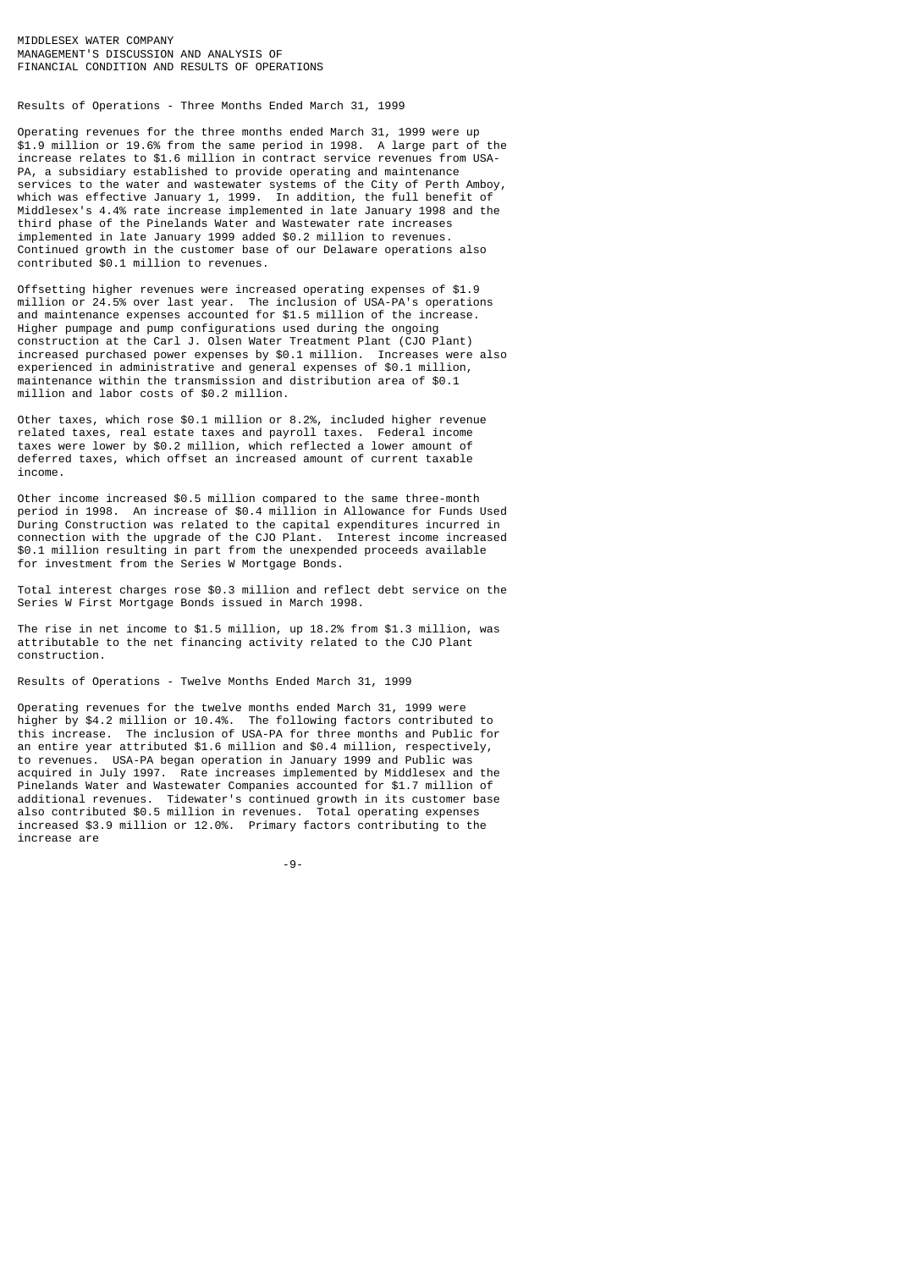Results of Operations - Three Months Ended March 31, 1999

Operating revenues for the three months ended March 31, 1999 were up \$1.9 million or 19.6% from the same period in 1998. A large part of the increase relates to \$1.6 million in contract service revenues from USA-PA, a subsidiary established to provide operating and maintenance services to the water and wastewater systems of the City of Perth Amboy, which was effective January 1, 1999. In addition, the full benefit of Middlesex's 4.4% rate increase implemented in late January 1998 and the third phase of the Pinelands Water and Wastewater rate increases implemented in late January 1999 added \$0.2 million to revenues. Continued growth in the customer base of our Delaware operations also contributed \$0.1 million to revenues.

Offsetting higher revenues were increased operating expenses of \$1.9 million or 24.5% over last year. The inclusion of USA-PA's operations and maintenance expenses accounted for \$1.5 million of the increase. Higher pumpage and pump configurations used during the ongoing construction at the Carl J. Olsen Water Treatment Plant (CJO Plant) increased purchased power expenses by \$0.1 million. Increases were also experienced in administrative and general expenses of \$0.1 million, maintenance within the transmission and distribution area of \$0.1 million and labor costs of \$0.2 million.

Other taxes, which rose \$0.1 million or 8.2%, included higher revenue related taxes, real estate taxes and payroll taxes. Federal income taxes were lower by \$0.2 million, which reflected a lower amount of deferred taxes, which offset an increased amount of current taxable income.

Other income increased \$0.5 million compared to the same three-month period in 1998. An increase of \$0.4 million in Allowance for Funds Used During Construction was related to the capital expenditures incurred in connection with the upgrade of the CJO Plant. Interest income increased \$0.1 million resulting in part from the unexpended proceeds available for investment from the Series W Mortgage Bonds.

Total interest charges rose \$0.3 million and reflect debt service on the Series W First Mortgage Bonds issued in March 1998.

The rise in net income to \$1.5 million, up 18.2% from \$1.3 million, was attributable to the net financing activity related to the CJO Plant construction.

Results of Operations - Twelve Months Ended March 31, 1999

Operating revenues for the twelve months ended March 31, 1999 were higher by \$4.2 million or 10.4%. The following factors contributed to this increase. The inclusion of USA-PA for three months and Public for an entire year attributed \$1.6 million and \$0.4 million, respectively, to revenues. USA-PA began operation in January 1999 and Public was acquired in July 1997. Rate increases implemented by Middlesex and the Pinelands Water and Wastewater Companies accounted for \$1.7 million of additional revenues. Tidewater's continued growth in its customer base also contributed \$0.5 million in revenues. Total operating expenses increased \$3.9 million or 12.0%. Primary factors contributing to the increase are

-9-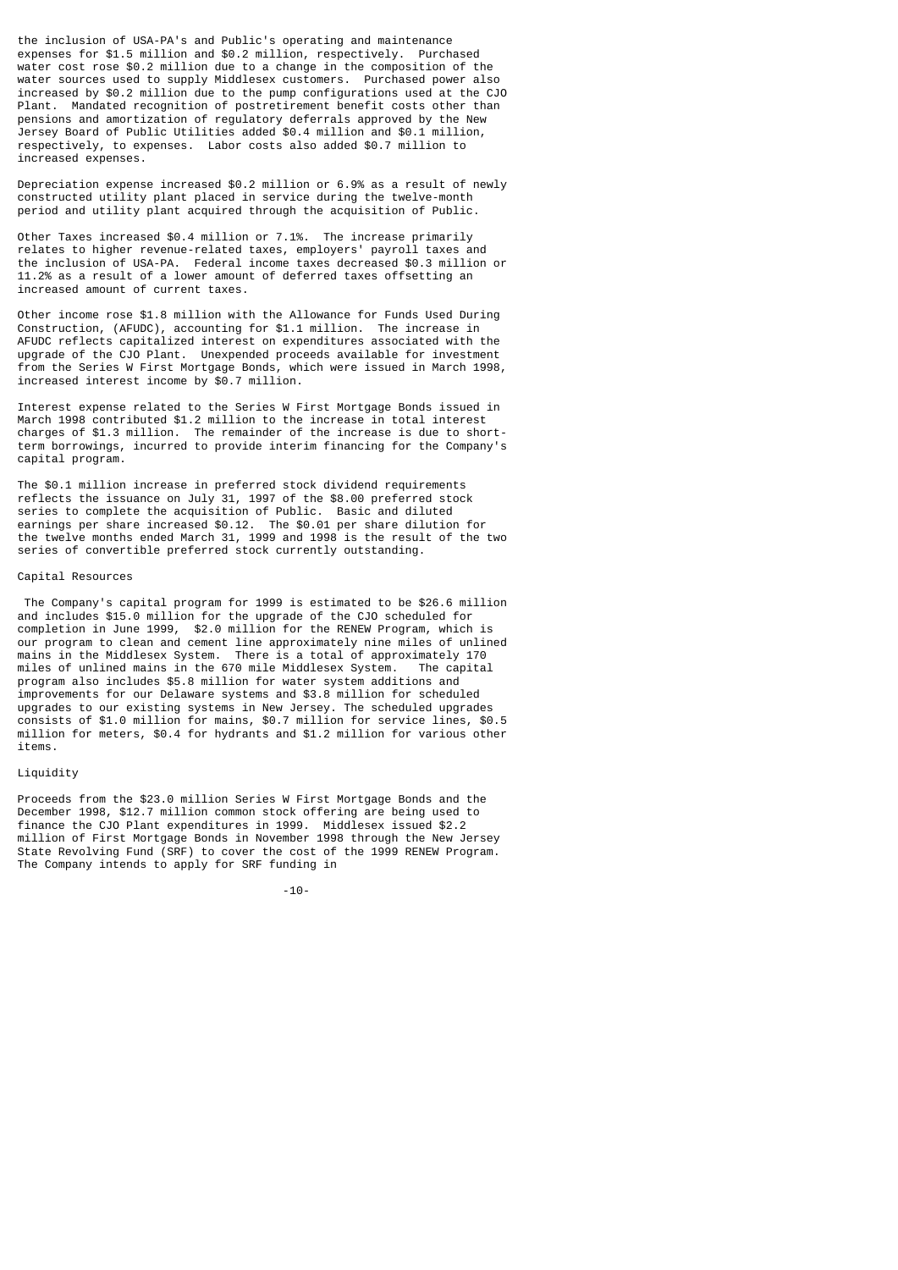the inclusion of USA-PA's and Public's operating and maintenance expenses for \$1.5 million and \$0.2 million, respectively. Purchased water cost rose \$0.2 million due to a change in the composition of the water sources used to supply Middlesex customers. Purchased power also increased by \$0.2 million due to the pump configurations used at the CJO Plant. Mandated recognition of postretirement benefit costs other than pensions and amortization of regulatory deferrals approved by the New Jersey Board of Public Utilities added \$0.4 million and \$0.1 million, respectively, to expenses. Labor costs also added \$0.7 million to increased expenses.

Depreciation expense increased \$0.2 million or 6.9% as a result of newly constructed utility plant placed in service during the twelve-month period and utility plant acquired through the acquisition of Public.

Other Taxes increased \$0.4 million or 7.1%. The increase primarily relates to higher revenue-related taxes, employers' payroll taxes and the inclusion of USA-PA. Federal income taxes decreased \$0.3 million or 11.2% as a result of a lower amount of deferred taxes offsetting an increased amount of current taxes.

Other income rose \$1.8 million with the Allowance for Funds Used During Construction, (AFUDC), accounting for \$1.1 million. The increase in AFUDC reflects capitalized interest on expenditures associated with the upgrade of the CJO Plant. Unexpended proceeds available for investment from the Series W First Mortgage Bonds, which were issued in March 1998, increased interest income by \$0.7 million.

Interest expense related to the Series W First Mortgage Bonds issued in March 1998 contributed \$1.2 million to the increase in total interest charges of \$1.3 million. The remainder of the increase is due to shortterm borrowings, incurred to provide interim financing for the Company's capital program.

The \$0.1 million increase in preferred stock dividend requirements reflects the issuance on July 31, 1997 of the \$8.00 preferred stock series to complete the acquisition of Public. Basic and diluted earnings per share increased \$0.12. The \$0.01 per share dilution for the twelve months ended March 31, 1999 and 1998 is the result of the two series of convertible preferred stock currently outstanding.

### Capital Resources

 The Company's capital program for 1999 is estimated to be \$26.6 million and includes \$15.0 million for the upgrade of the CJO scheduled for completion in June 1999, \$2.0 million for the RENEW Program, which is our program to clean and cement line approximately nine miles of unlined mains in the Middlesex System. There is a total of approximately 170 miles of unlined mains in the 670 mile Middlesex System. The capital miles of unlined mains in the 670 mile Middlesex System. program also includes \$5.8 million for water system additions and improvements for our Delaware systems and \$3.8 million for scheduled upgrades to our existing systems in New Jersey. The scheduled upgrades consists of \$1.0 million for mains, \$0.7 million for service lines, \$0.5 million for meters, \$0.4 for hydrants and \$1.2 million for various other items.

#### Liquidity

Proceeds from the \$23.0 million Series W First Mortgage Bonds and the December 1998, \$12.7 million common stock offering are being used to finance the CJO Plant expenditures in 1999. Middlesex issued \$2.2 million of First Mortgage Bonds in November 1998 through the New Jersey State Revolving Fund (SRF) to cover the cost of the 1999 RENEW Program. The Company intends to apply for SRF funding in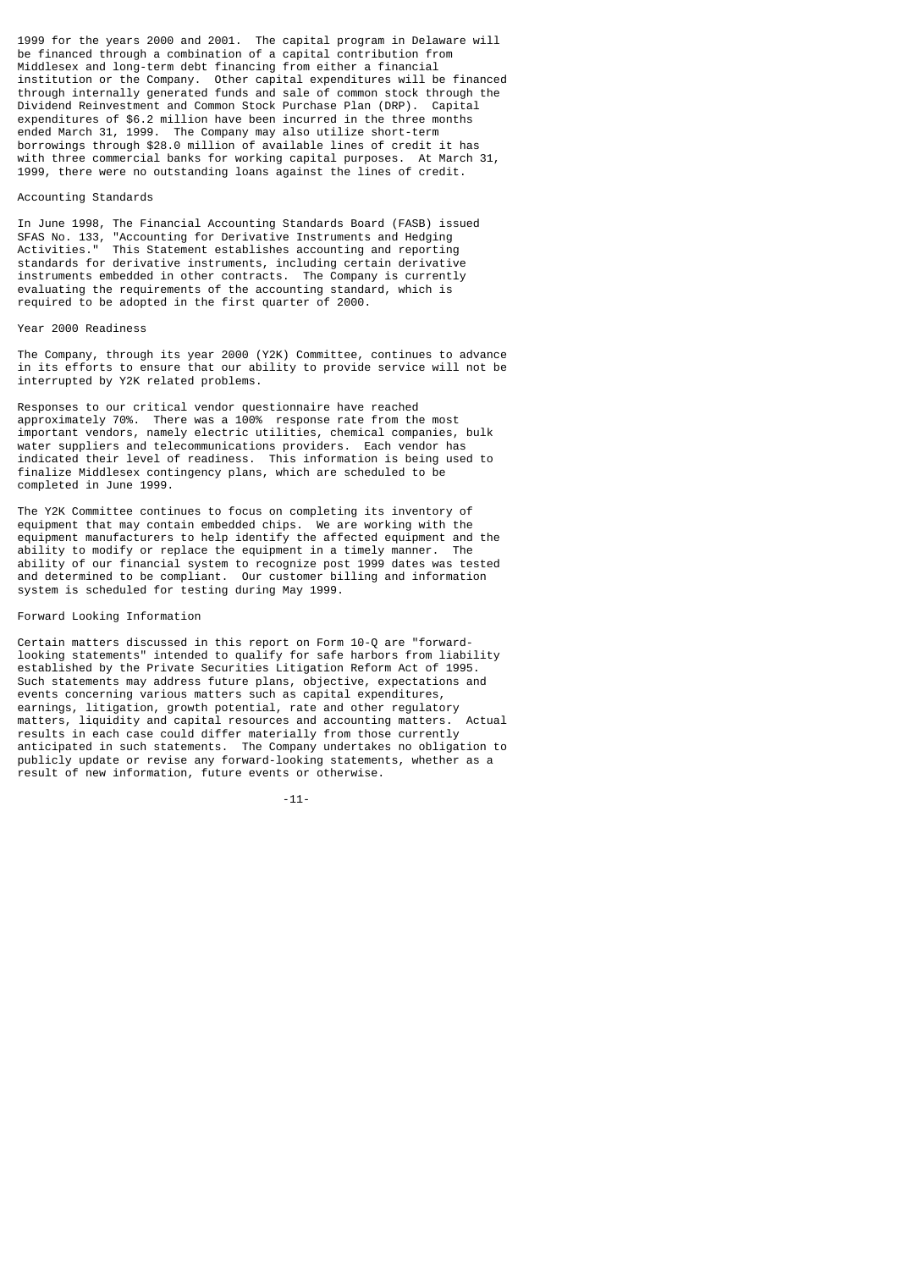1999 for the years 2000 and 2001. The capital program in Delaware will be financed through a combination of a capital contribution from Middlesex and long-term debt financing from either a financial institution or the Company. Other capital expenditures will be financed through internally generated funds and sale of common stock through the Dividend Reinvestment and Common Stock Purchase Plan (DRP). Capital expenditures of \$6.2 million have been incurred in the three months ended March 31, 1999. The Company may also utilize short-term borrowings through \$28.0 million of available lines of credit it has with three commercial banks for working capital purposes. At March 31, 1999, there were no outstanding loans against the lines of credit.

#### Accounting Standards

In June 1998, The Financial Accounting Standards Board (FASB) issued SFAS No. 133, "Accounting for Derivative Instruments and Hedging Activities." This Statement establishes accounting and reporting standards for derivative instruments, including certain derivative instruments embedded in other contracts. The Company is currently evaluating the requirements of the accounting standard, which is required to be adopted in the first quarter of 2000.

#### Year 2000 Readiness

The Company, through its year 2000 (Y2K) Committee, continues to advance in its efforts to ensure that our ability to provide service will not be interrupted by Y2K related problems.

Responses to our critical vendor questionnaire have reached approximately 70%. There was a 100% response rate from the most important vendors, namely electric utilities, chemical companies, bulk water suppliers and telecommunications providers. Each vendor has indicated their level of readiness. This information is being used to finalize Middlesex contingency plans, which are scheduled to be completed in June 1999.

The Y2K Committee continues to focus on completing its inventory of equipment that may contain embedded chips. We are working with the equipment manufacturers to help identify the affected equipment and the ability to modify or replace the equipment in a timely manner. The ability to modify or replace the equipment in a timely manner. ability of our financial system to recognize post 1999 dates was tested and determined to be compliant. Our customer billing and information system is scheduled for testing during May 1999.

### Forward Looking Information

Certain matters discussed in this report on Form 10-Q are "forwardlooking statements" intended to qualify for safe harbors from liability established by the Private Securities Litigation Reform Act of 1995. Such statements may address future plans, objective, expectations and events concerning various matters such as capital expenditures, earnings, litigation, growth potential, rate and other regulatory matters, liquidity and capital resources and accounting matters. Actual results in each case could differ materially from those currently anticipated in such statements. The Company undertakes no obligation to publicly update or revise any forward-looking statements, whether as a result of new information, future events or otherwise.

-11-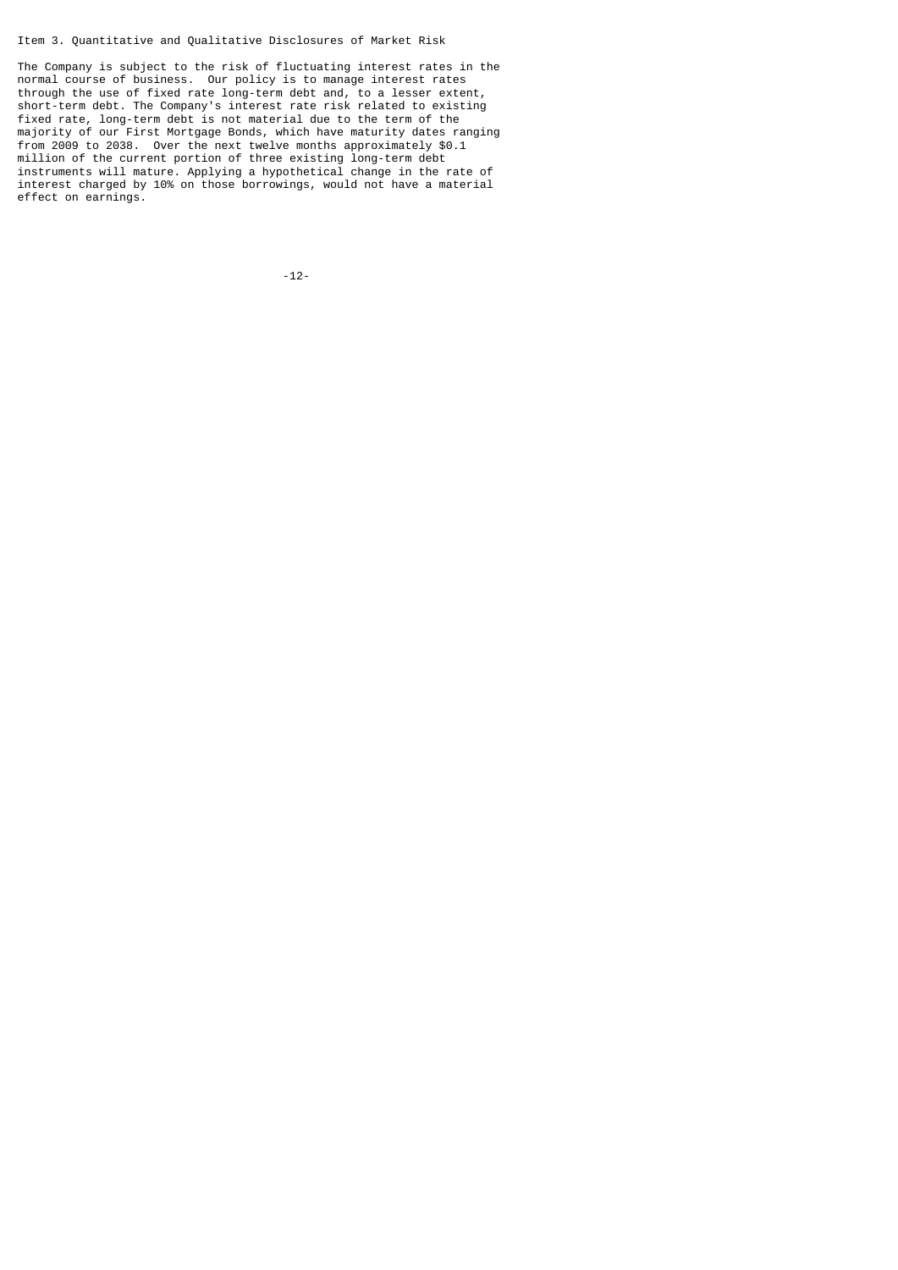# Item 3. Quantitative and Qualitative Disclosures of Market Risk

The Company is subject to the risk of fluctuating interest rates in the normal course of business. Our policy is to manage interest rates through the use of fixed rate long-term debt and, to a lesser extent, short-term debt. The Company's interest rate risk related to existing fixed rate, long-term debt is not material due to the term of the majority of our First Mortgage Bonds, which have maturity dates ranging from 2009 to 2038. Over the next twelve months approximately \$0.1 million of the current portion of three existing long-term debt instruments will mature. Applying a hypothetical change in the rate of interest charged by 10% on those borrowings, would not have a material effect on earnings.

-12-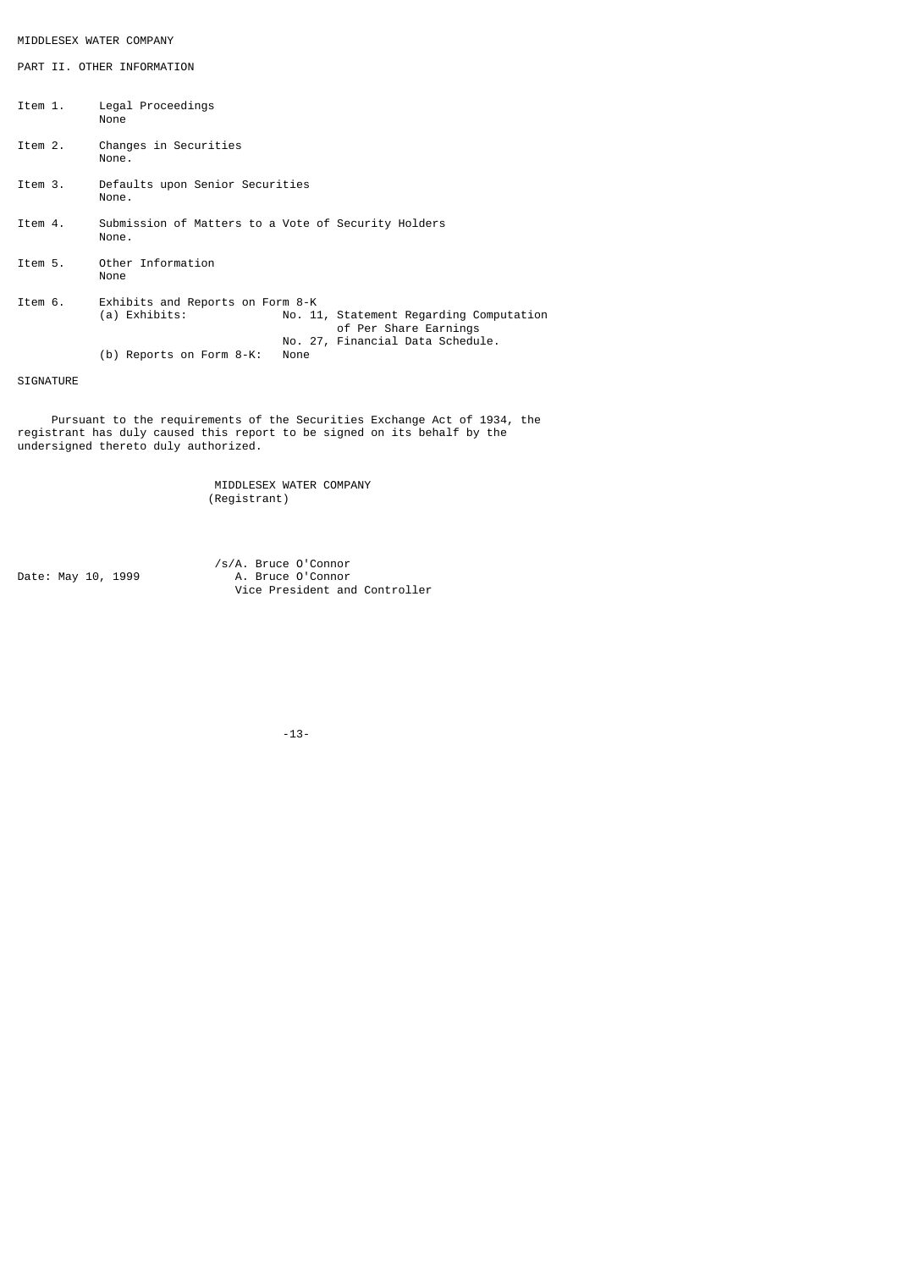# MIDDLESEX WATER COMPANY

PART II. OTHER INFORMATION

| Item 1. | Legal Proceedings<br>None                                    |                                                                  |                                  |  |  |  |  |  |
|---------|--------------------------------------------------------------|------------------------------------------------------------------|----------------------------------|--|--|--|--|--|
| Item 2. | Changes in Securities<br>None.                               |                                                                  |                                  |  |  |  |  |  |
| Item 3. | Defaults upon Senior Securities<br>None.                     |                                                                  |                                  |  |  |  |  |  |
| Item 4. | Submission of Matters to a Vote of Security Holders<br>None. |                                                                  |                                  |  |  |  |  |  |
| Item 5. | Other Information<br>None                                    |                                                                  |                                  |  |  |  |  |  |
| Item 6. | Exhibits and Reports on Form 8-K<br>(a) Exhibits:            | No. 11, Statement Regarding Computation<br>of Per Share Earnings |                                  |  |  |  |  |  |
|         | (b) Reports on Form 8-K:                                     | None                                                             | No. 27, Financial Data Schedule. |  |  |  |  |  |
|         |                                                              |                                                                  |                                  |  |  |  |  |  |

SIGNATURE

 Pursuant to the requirements of the Securities Exchange Act of 1934, the registrant has duly caused this report to be signed on its behalf by the undersigned thereto duly authorized.

> MIDDLESEX WATER COMPANY (Registrant)

 /s/A. Bruce O'Connor Date: May 10, 1999 A. Bruce O'Connor Vice President and Controller

-13-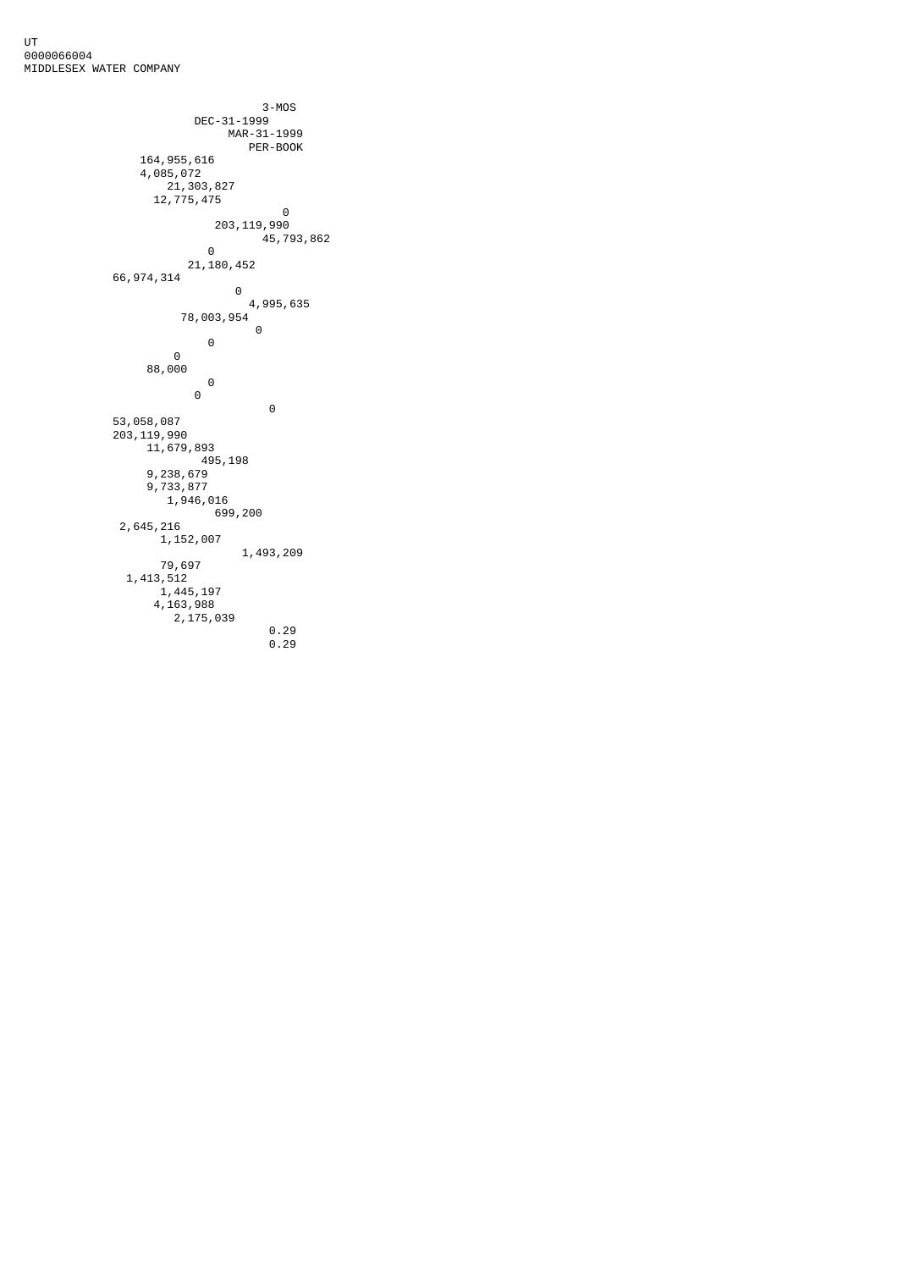```
 3-MOS
          DEC-31-1999
 MAR-31-1999
PER-BOOK
       164,955,616
       4,085,072
        21,303,827
        12,775,475
 0
 203,119,990
 45,793,862
 0
          21,180,452
      66,974,314
 0
 4,995,635
 78,003,954
 0
 0
 0
        88,000
 0
 0
 0
 53,058,087
 203,119,990
 11,679,893
          495,198
 9,238,679
 9,733,877
         1,946,016
           699,200
 2,645,216
 1,152,007
             1,493,209
        79,697
 1,413,512
 1,445,197
 4,163,988
         2,175,039
               0.29
               0.29
```